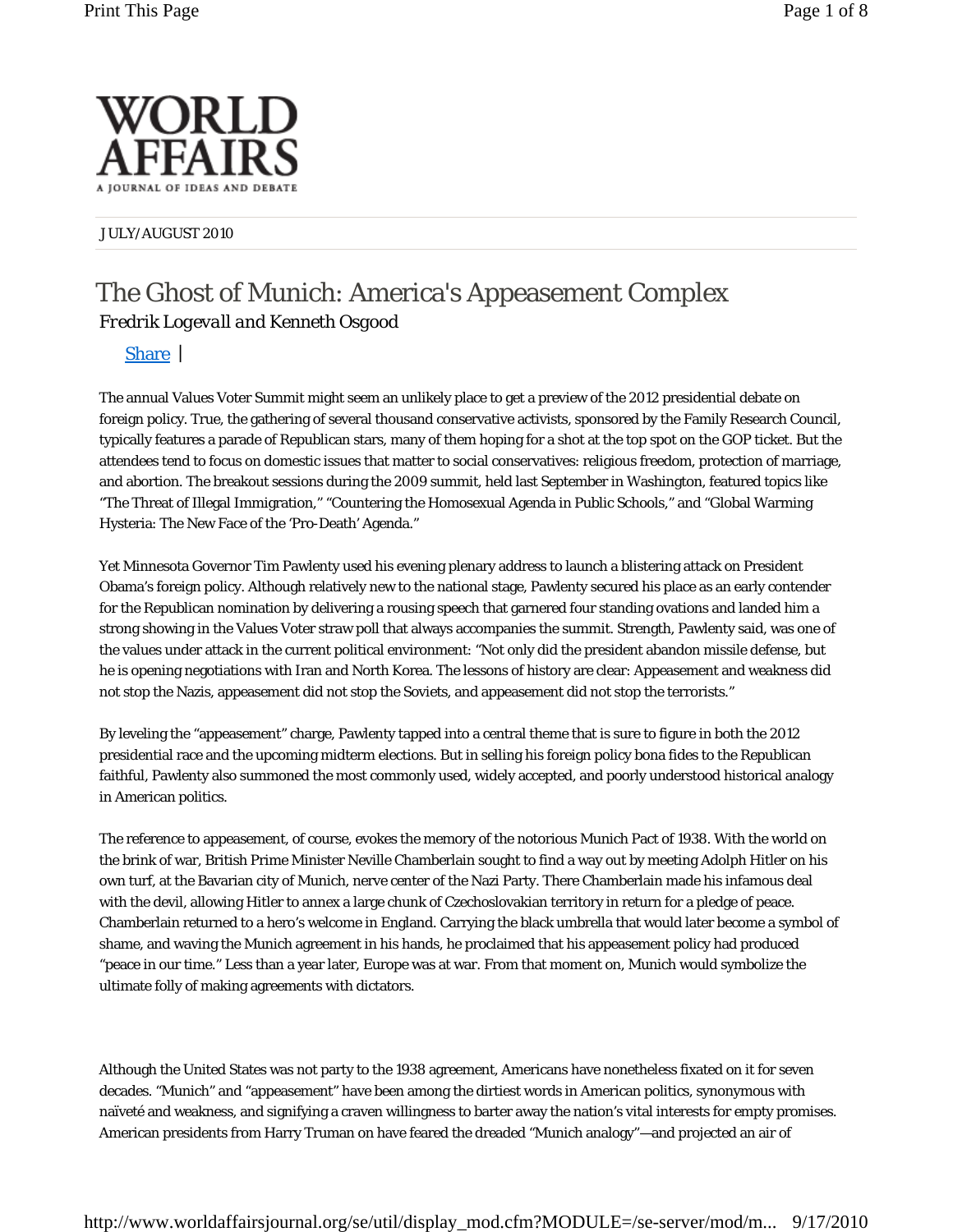

## JULY/AUGUST 2010

## The Ghost of Munich: America's Appeasement Complex *Fredrik Logevall and Kenneth Osgood*

Share |

The annual Values Voter Summit might seem an unlikely place to get a preview of the 2012 presidential debate on foreign policy. True, the gathering of several thousand conservative activists, sponsored by the Family Research Council, typically features a parade of Republican stars, many of them hoping for a shot at the top spot on the GOP ticket. But the attendees tend to focus on domestic issues that matter to social conservatives: religious freedom, protection of marriage, and abortion. The breakout sessions during the 2009 summit, held last September in Washington, featured topics like "The Threat of Illegal Immigration," "Countering the Homosexual Agenda in Public Schools," and "Global Warming Hysteria: The New Face of the 'Pro-Death' Agenda."

Yet Minnesota Governor Tim Pawlenty used his evening plenary address to launch a blistering attack on President Obama's foreign policy. Although relatively new to the national stage, Pawlenty secured his place as an early contender for the Republican nomination by delivering a rousing speech that garnered four standing ovations and landed him a strong showing in the Values Voter straw poll that always accompanies the summit. Strength, Pawlenty said, was one of the values under attack in the current political environment: "Not only did the president abandon missile defense, but he is opening negotiations with Iran and North Korea. The lessons of history are clear: Appeasement and weakness did not stop the Nazis, appeasement did not stop the Soviets, and appeasement did not stop the terrorists."

By leveling the "appeasement" charge, Pawlenty tapped into a central theme that is sure to figure in both the 2012 presidential race and the upcoming midterm elections. But in selling his foreign policy bona fides to the Republican faithful, Pawlenty also summoned the most commonly used, widely accepted, and poorly understood historical analogy in American politics.

The reference to appeasement, of course, evokes the memory of the notorious Munich Pact of 1938. With the world on the brink of war, British Prime Minister Neville Chamberlain sought to find a way out by meeting Adolph Hitler on his own turf, at the Bavarian city of Munich, nerve center of the Nazi Party. There Chamberlain made his infamous deal with the devil, allowing Hitler to annex a large chunk of Czechoslovakian territory in return for a pledge of peace. Chamberlain returned to a hero's welcome in England. Carrying the black umbrella that would later become a symbol of shame, and waving the Munich agreement in his hands, he proclaimed that his appeasement policy had produced "peace in our time." Less than a year later, Europe was at war. From that moment on, Munich would symbolize the ultimate folly of making agreements with dictators.

Although the United States was not party to the 1938 agreement, Americans have nonetheless fixated on it for seven decades. "Munich" and "appeasement" have been among the dirtiest words in American politics, synonymous with naïveté and weakness, and signifying a craven willingness to barter away the nation's vital interests for empty promises. American presidents from Harry Truman on have feared the dreaded "Munich analogy"—and projected an air of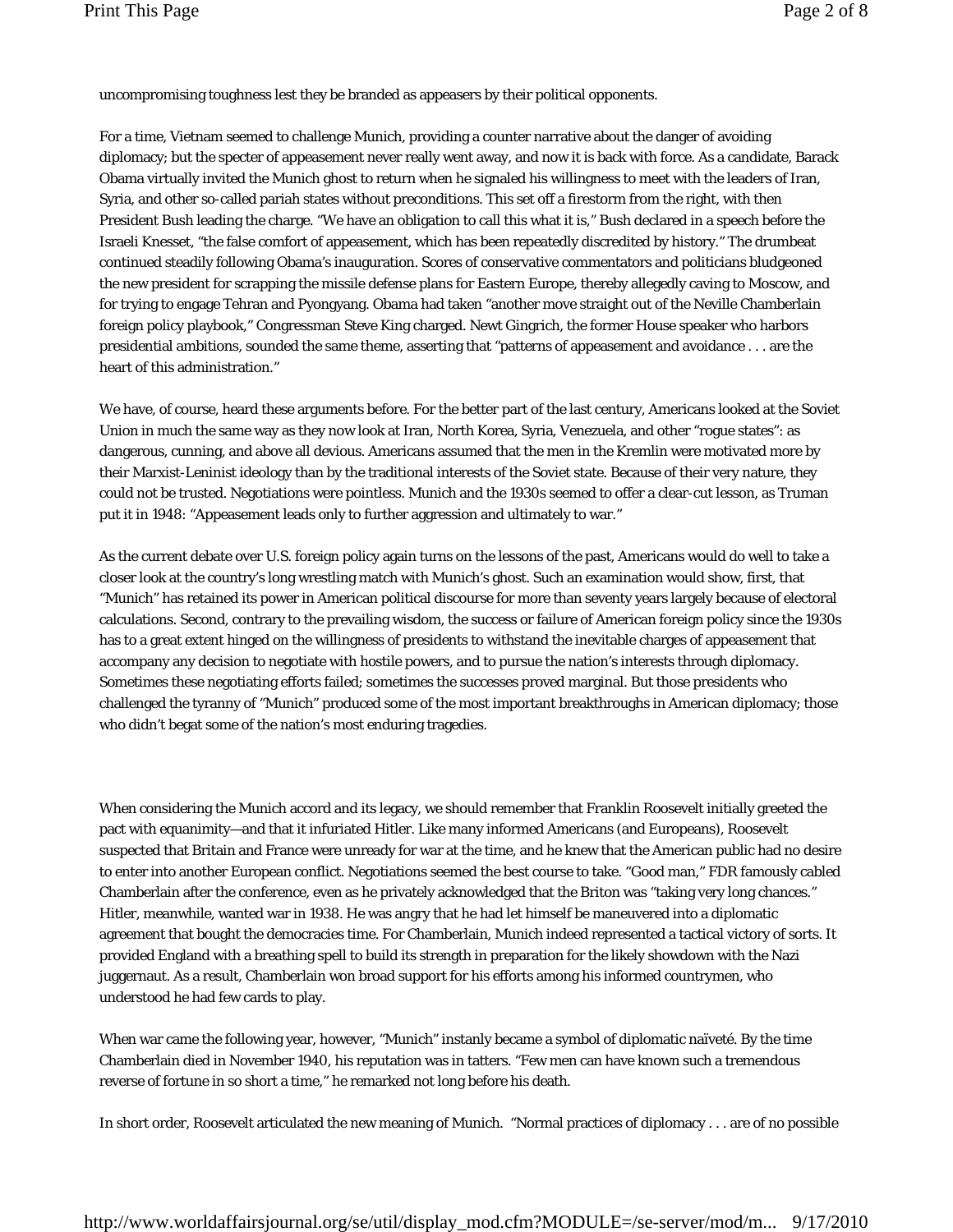uncompromising toughness lest they be branded as appeasers by their political opponents.

For a time, Vietnam seemed to challenge Munich, providing a counter narrative about the danger of avoiding diplomacy; but the specter of appeasement never really went away, and now it is back with force. As a candidate, Barack Obama virtually invited the Munich ghost to return when he signaled his willingness to meet with the leaders of Iran, Syria, and other so-called pariah states without preconditions. This set off a firestorm from the right, with then President Bush leading the charge. "We have an obligation to call this what it is," Bush declared in a speech before the Israeli Knesset, "the false comfort of appeasement, which has been repeatedly discredited by history." The drumbeat continued steadily following Obama's inauguration. Scores of conservative commentators and politicians bludgeoned the new president for scrapping the missile defense plans for Eastern Europe, thereby allegedly caving to Moscow, and for trying to engage Tehran and Pyongyang. Obama had taken "another move straight out of the Neville Chamberlain foreign policy playbook," Congressman Steve King charged. Newt Gingrich, the former House speaker who harbors presidential ambitions, sounded the same theme, asserting that "patterns of appeasement and avoidance . . . are the heart of this administration."

We have, of course, heard these arguments before. For the better part of the last century, Americans looked at the Soviet Union in much the same way as they now look at Iran, North Korea, Syria, Venezuela, and other "rogue states": as dangerous, cunning, and above all devious. Americans assumed that the men in the Kremlin were motivated more by their Marxist-Leninist ideology than by the traditional interests of the Soviet state. Because of their very nature, they could not be trusted. Negotiations were pointless. Munich and the 1930s seemed to offer a clear-cut lesson, as Truman put it in 1948: "Appeasement leads only to further aggression and ultimately to war."

As the current debate over U.S. foreign policy again turns on the lessons of the past, Americans would do well to take a closer look at the country's long wrestling match with Munich's ghost. Such an examination would show, first, that "Munich" has retained its power in American political discourse for more than seventy years largely because of electoral calculations. Second, contrary to the prevailing wisdom, the success or failure of American foreign policy since the 1930s has to a great extent hinged on the willingness of presidents to withstand the inevitable charges of appeasement that accompany any decision to negotiate with hostile powers, and to pursue the nation's interests through diplomacy. Sometimes these negotiating efforts failed; sometimes the successes proved marginal. But those presidents who challenged the tyranny of "Munich" produced some of the most important breakthroughs in American diplomacy; those who didn't begat some of the nation's most enduring tragedies.

When considering the Munich accord and its legacy, we should remember that Franklin Roosevelt initially greeted the pact with equanimity—and that it infuriated Hitler. Like many informed Americans (and Europeans), Roosevelt suspected that Britain and France were unready for war at the time, and he knew that the American public had no desire to enter into another European conflict. Negotiations seemed the best course to take. "Good man," FDR famously cabled Chamberlain after the conference, even as he privately acknowledged that the Briton was "taking very long chances." Hitler, meanwhile, wanted war in 1938. He was angry that he had let himself be maneuvered into a diplomatic agreement that bought the democracies time. For Chamberlain, Munich indeed represented a tactical victory of sorts. It provided England with a breathing spell to build its strength in preparation for the likely showdown with the Nazi juggernaut. As a result, Chamberlain won broad support for his efforts among his informed countrymen, who understood he had few cards to play.

When war came the following year, however, "Munich" instanly became a symbol of diplomatic naïveté. By the time Chamberlain died in November 1940, his reputation was in tatters. "Few men can have known such a tremendous reverse of fortune in so short a time," he remarked not long before his death.

In short order, Roosevelt articulated the new meaning of Munich. "Normal practices of diplomacy . . . are of no possible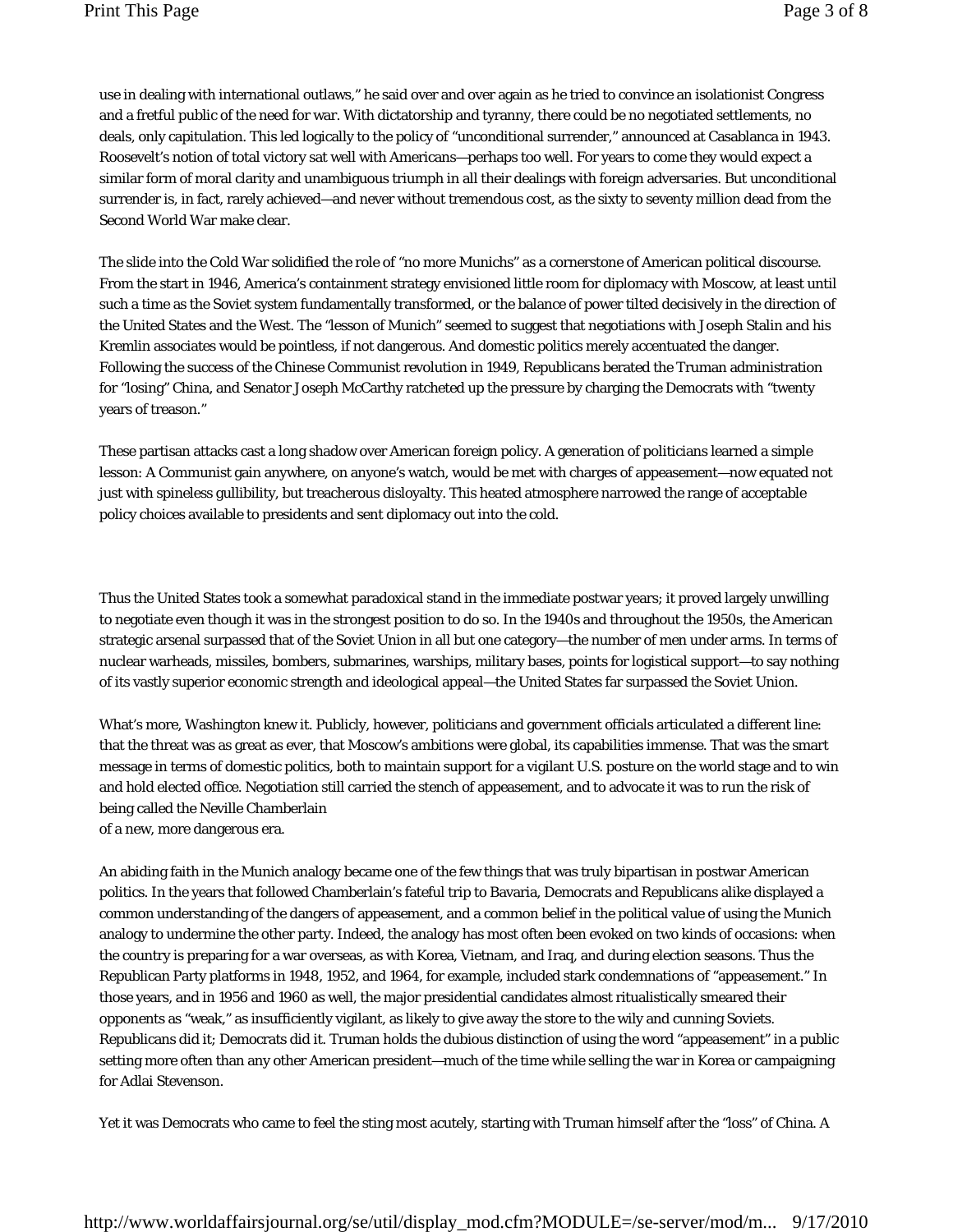use in dealing with international outlaws," he said over and over again as he tried to convince an isolationist Congress and a fretful public of the need for war. With dictatorship and tyranny, there could be no negotiated settlements, no deals, only capitulation. This led logically to the policy of "unconditional surrender," announced at Casablanca in 1943. Roosevelt's notion of total victory sat well with Americans—perhaps too well. For years to come they would expect a similar form of moral clarity and unambiguous triumph in all their dealings with foreign adversaries. But unconditional surrender is, in fact, rarely achieved—and never without tremendous cost, as the sixty to seventy million dead from the Second World War make clear.

The slide into the Cold War solidified the role of "no more Munichs" as a cornerstone of American political discourse. From the start in 1946, America's containment strategy envisioned little room for diplomacy with Moscow, at least until such a time as the Soviet system fundamentally transformed, or the balance of power tilted decisively in the direction of the United States and the West. The "lesson of Munich" seemed to suggest that negotiations with Joseph Stalin and his Kremlin associates would be pointless, if not dangerous. And domestic politics merely accentuated the danger. Following the success of the Chinese Communist revolution in 1949, Republicans berated the Truman administration for "losing" China, and Senator Joseph McCarthy ratcheted up the pressure by charging the Democrats with "twenty years of treason."

These partisan attacks cast a long shadow over American foreign policy. A generation of politicians learned a simple lesson: A Communist gain anywhere, on anyone's watch, would be met with charges of appeasement—now equated not just with spineless gullibility, but treacherous disloyalty. This heated atmosphere narrowed the range of acceptable policy choices available to presidents and sent diplomacy out into the cold.

Thus the United States took a somewhat paradoxical stand in the immediate postwar years; it proved largely unwilling to negotiate even though it was in the strongest position to do so. In the 1940s and throughout the 1950s, the American strategic arsenal surpassed that of the Soviet Union in all but one category—the number of men under arms. In terms of nuclear warheads, missiles, bombers, submarines, warships, military bases, points for logistical support—to say nothing of its vastly superior economic strength and ideological appeal—the United States far surpassed the Soviet Union.

What's more, Washington knew it. Publicly, however, politicians and government officials articulated a different line: that the threat was as great as ever, that Moscow's ambitions were global, its capabilities immense. That was the smart message in terms of domestic politics, both to maintain support for a vigilant U.S. posture on the world stage and to win and hold elected office. Negotiation still carried the stench of appeasement, and to advocate it was to run the risk of being called the Neville Chamberlain

of a new, more dangerous era.

An abiding faith in the Munich analogy became one of the few things that was truly bipartisan in postwar American politics. In the years that followed Chamberlain's fateful trip to Bavaria, Democrats and Republicans alike displayed a common understanding of the dangers of appeasement, and a common belief in the political value of using the Munich analogy to undermine the other party. Indeed, the analogy has most often been evoked on two kinds of occasions: when the country is preparing for a war overseas, as with Korea, Vietnam, and Iraq, and during election seasons. Thus the Republican Party platforms in 1948, 1952, and 1964, for example, included stark condemnations of "appeasement." In those years, and in 1956 and 1960 as well, the major presidential candidates almost ritualistically smeared their opponents as "weak," as insufficiently vigilant, as likely to give away the store to the wily and cunning Soviets. Republicans did it; Democrats did it. Truman holds the dubious distinction of using the word "appeasement" in a public setting more often than any other American president—much of the time while selling the war in Korea or campaigning for Adlai Stevenson.

Yet it was Democrats who came to feel the sting most acutely, starting with Truman himself after the "loss" of China. A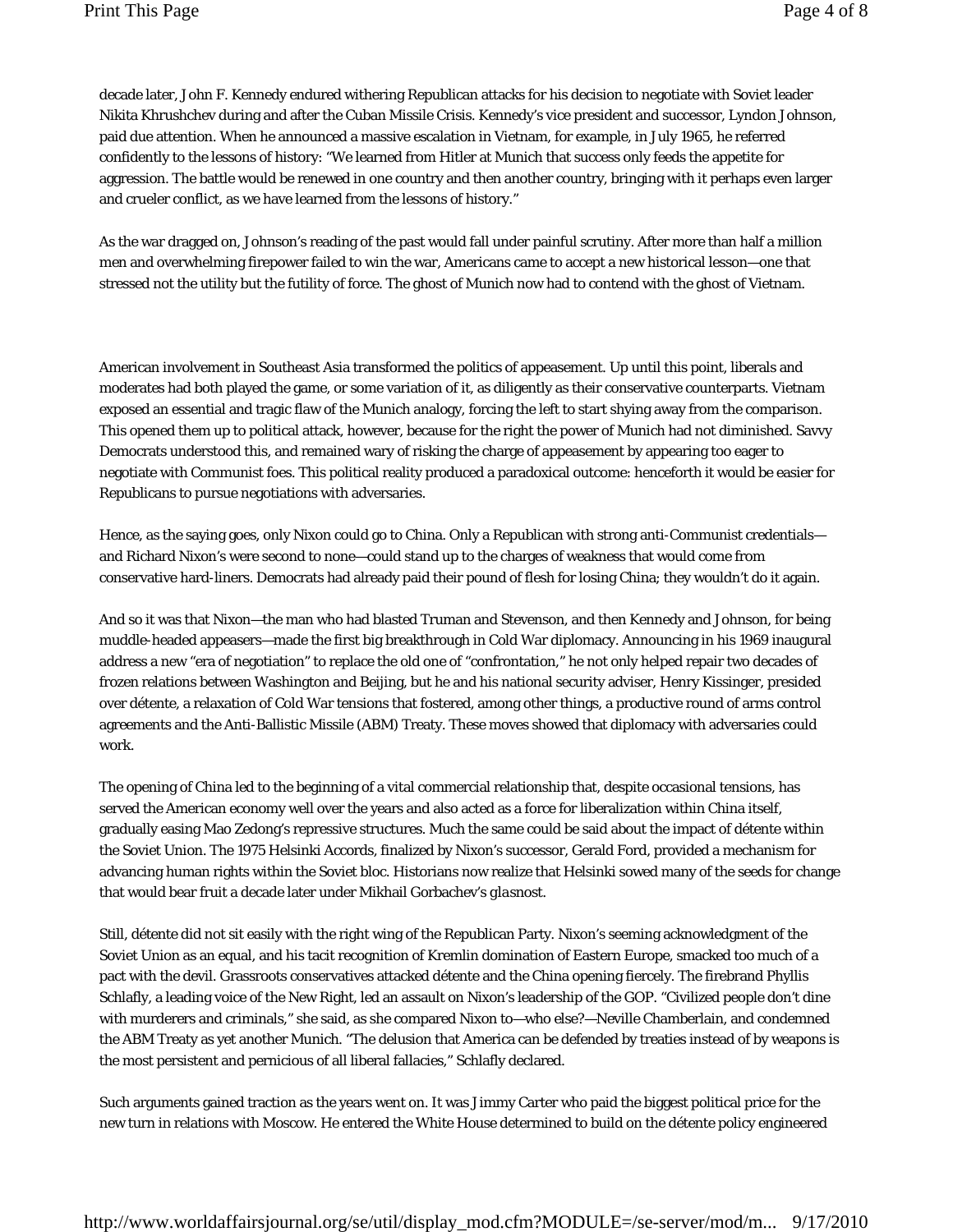decade later, John F. Kennedy endured withering Republican attacks for his decision to negotiate with Soviet leader Nikita Khrushchev during and after the Cuban Missile Crisis. Kennedy's vice president and successor, Lyndon Johnson, paid due attention. When he announced a massive escalation in Vietnam, for example, in July 1965, he referred confidently to the lessons of history: "We learned from Hitler at Munich that success only feeds the appetite for aggression. The battle would be renewed in one country and then another country, bringing with it perhaps even larger and crueler conflict, as we have learned from the lessons of history."

As the war dragged on, Johnson's reading of the past would fall under painful scrutiny. After more than half a million men and overwhelming firepower failed to win the war, Americans came to accept a new historical lesson—one that stressed not the utility but the futility of force. The ghost of Munich now had to contend with the ghost of Vietnam.

American involvement in Southeast Asia transformed the politics of appeasement. Up until this point, liberals and moderates had both played the game, or some variation of it, as diligently as their conservative counterparts. Vietnam exposed an essential and tragic flaw of the Munich analogy, forcing the left to start shying away from the comparison. This opened them up to political attack, however, because for the right the power of Munich had not diminished. Savvy Democrats understood this, and remained wary of risking the charge of appeasement by appearing too eager to negotiate with Communist foes. This political reality produced a paradoxical outcome: henceforth it would be easier for Republicans to pursue negotiations with adversaries.

Hence, as the saying goes, only Nixon could go to China. Only a Republican with strong anti-Communist credentials and Richard Nixon's were second to none—could stand up to the charges of weakness that would come from conservative hard-liners. Democrats had already paid their pound of flesh for losing China; they wouldn't do it again.

And so it was that Nixon—the man who had blasted Truman and Stevenson, and then Kennedy and Johnson, for being muddle-headed appeasers—made the first big breakthrough in Cold War diplomacy. Announcing in his 1969 inaugural address a new "era of negotiation" to replace the old one of "confrontation," he not only helped repair two decades of frozen relations between Washington and Beijing, but he and his national security adviser, Henry Kissinger, presided over détente, a relaxation of Cold War tensions that fostered, among other things, a productive round of arms control agreements and the Anti-Ballistic Missile (ABM) Treaty. These moves showed that diplomacy with adversaries could work.

The opening of China led to the beginning of a vital commercial relationship that, despite occasional tensions, has served the American economy well over the years and also acted as a force for liberalization within China itself, gradually easing Mao Zedong's repressive structures. Much the same could be said about the impact of détente within the Soviet Union. The 1975 Helsinki Accords, finalized by Nixon's successor, Gerald Ford, provided a mechanism for advancing human rights within the Soviet bloc. Historians now realize that Helsinki sowed many of the seeds for change that would bear fruit a decade later under Mikhail Gorbachev's *glasnost*.

Still, détente did not sit easily with the right wing of the Republican Party. Nixon's seeming acknowledgment of the Soviet Union as an equal, and his tacit recognition of Kremlin domination of Eastern Europe, smacked too much of a pact with the devil. Grassroots conservatives attacked détente and the China opening fiercely. The firebrand Phyllis Schlafly, a leading voice of the New Right, led an assault on Nixon's leadership of the GOP. "Civilized people don't dine with murderers and criminals," she said, as she compared Nixon to—who else?—Neville Chamberlain, and condemned the ABM Treaty as yet another Munich. "The delusion that America can be defended by treaties instead of by weapons is the most persistent and pernicious of all liberal fallacies," Schlafly declared.

Such arguments gained traction as the years went on. It was Jimmy Carter who paid the biggest political price for the new turn in relations with Moscow. He entered the White House determined to build on the détente policy engineered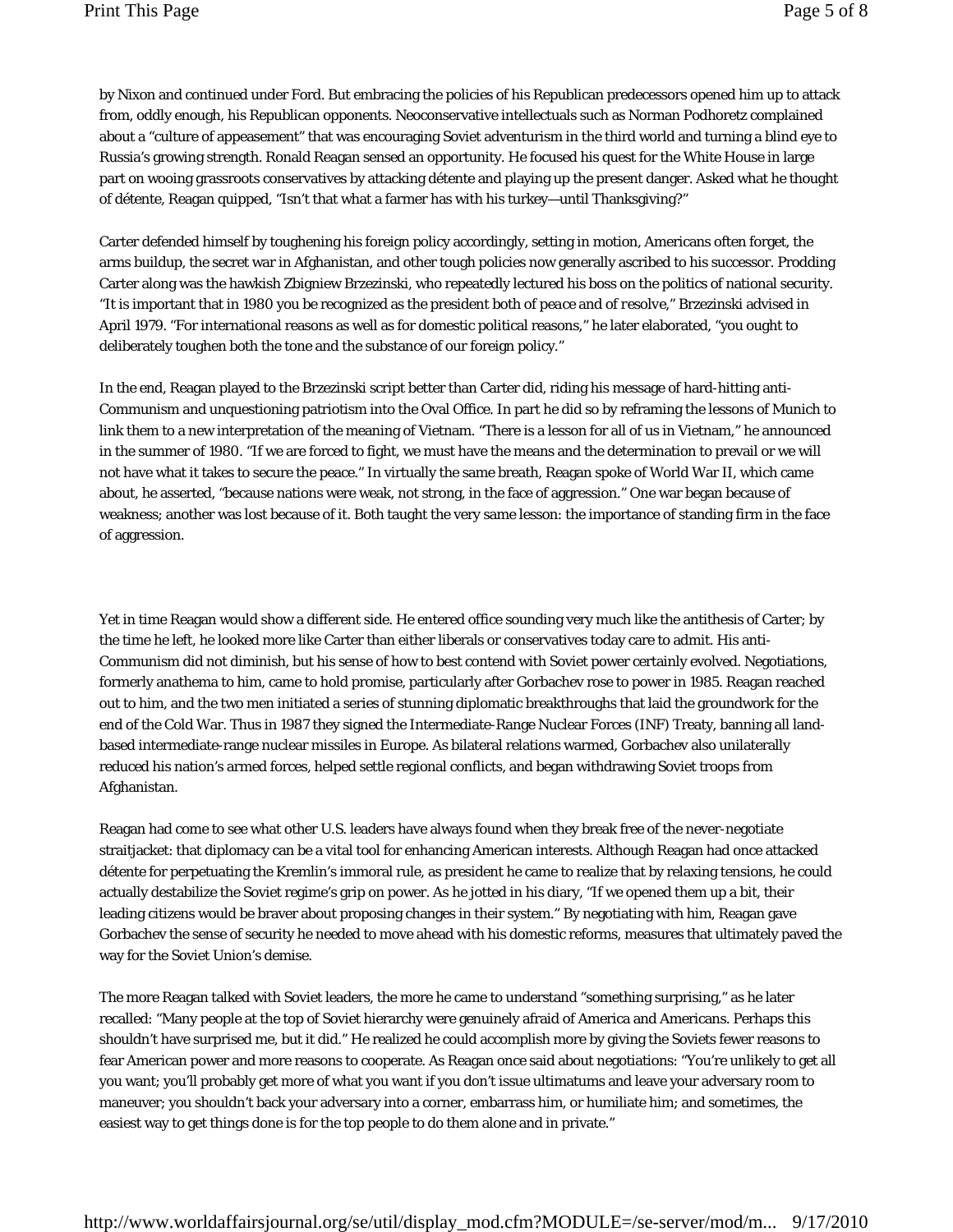by Nixon and continued under Ford. But embracing the policies of his Republican predecessors opened him up to attack from, oddly enough, his Republican opponents. Neoconservative intellectuals such as Norman Podhoretz complained about a "culture of appeasement" that was encouraging Soviet adventurism in the third world and turning a blind eye to Russia's growing strength. Ronald Reagan sensed an opportunity. He focused his quest for the White House in large part on wooing grassroots conservatives by attacking détente and playing up the present danger. Asked what he thought of détente, Reagan quipped, "Isn't that what a farmer has with his turkey—until Thanksgiving?"

Carter defended himself by toughening his foreign policy accordingly, setting in motion, Americans often forget, the arms buildup, the secret war in Afghanistan, and other tough policies now generally ascribed to his successor. Prodding Carter along was the hawkish Zbigniew Brzezinski, who repeatedly lectured his boss on the politics of national security. "It is important that in 1980 you be recognized as the president both of *peace* and of *resolve*," Brzezinski advised in April 1979. "For international reasons as well as for domestic political reasons," he later elaborated, "you ought to deliberately toughen both the tone and the substance of our foreign policy."

In the end, Reagan played to the Brzezinski script better than Carter did, riding his message of hard-hitting anti-Communism and unquestioning patriotism into the Oval Office. In part he did so by reframing the lessons of Munich to link them to a new interpretation of the meaning of Vietnam. "There is a lesson for all of us in Vietnam," he announced in the summer of 1980. "If we are forced to fight, we must have the means and the determination to prevail or we will not have what it takes to secure the peace." In virtually the same breath, Reagan spoke of World War II, which came about, he asserted, "because nations were weak, not strong, in the face of aggression." One war began because of weakness; another was lost because of it. Both taught the very same lesson: the importance of standing firm in the face of aggression.

Yet in time Reagan would show a different side. He entered office sounding very much like the antithesis of Carter; by the time he left, he looked more like Carter than either liberals or conservatives today care to admit. His anti-Communism did not diminish, but his sense of how to best contend with Soviet power certainly evolved. Negotiations, formerly anathema to him, came to hold promise, particularly after Gorbachev rose to power in 1985. Reagan reached out to him, and the two men initiated a series of stunning diplomatic breakthroughs that laid the groundwork for the end of the Cold War. Thus in 1987 they signed the Intermediate-Range Nuclear Forces (INF) Treaty, banning all landbased intermediate-range nuclear missiles in Europe. As bilateral relations warmed, Gorbachev also unilaterally reduced his nation's armed forces, helped settle regional conflicts, and began withdrawing Soviet troops from Afghanistan.

Reagan had come to see what other U.S. leaders have always found when they break free of the never-negotiate straitjacket: that diplomacy can be a vital tool for enhancing American interests. Although Reagan had once attacked détente for perpetuating the Kremlin's immoral rule, as president he came to realize that by relaxing tensions, he could actually destabilize the Soviet regime's grip on power. As he jotted in his diary, "If we opened them up a bit, their leading citizens would be braver about proposing changes in their system." By negotiating with him, Reagan gave Gorbachev the sense of security he needed to move ahead with his domestic reforms, measures that ultimately paved the way for the Soviet Union's demise.

The more Reagan talked with Soviet leaders, the more he came to understand "something surprising," as he later recalled: "Many people at the top of Soviet hierarchy were genuinely afraid of America and Americans. Perhaps this shouldn't have surprised me, but it did." He realized he could accomplish more by giving the Soviets fewer reasons to fear American power and more reasons to cooperate. As Reagan once said about negotiations: "You're unlikely to get all you want; you'll probably get more of what you want if you don't issue ultimatums and leave your adversary room to maneuver; you shouldn't back your adversary into a corner, embarrass him, or humiliate him; and sometimes, the easiest way to get things done is for the top people to do them alone and in private."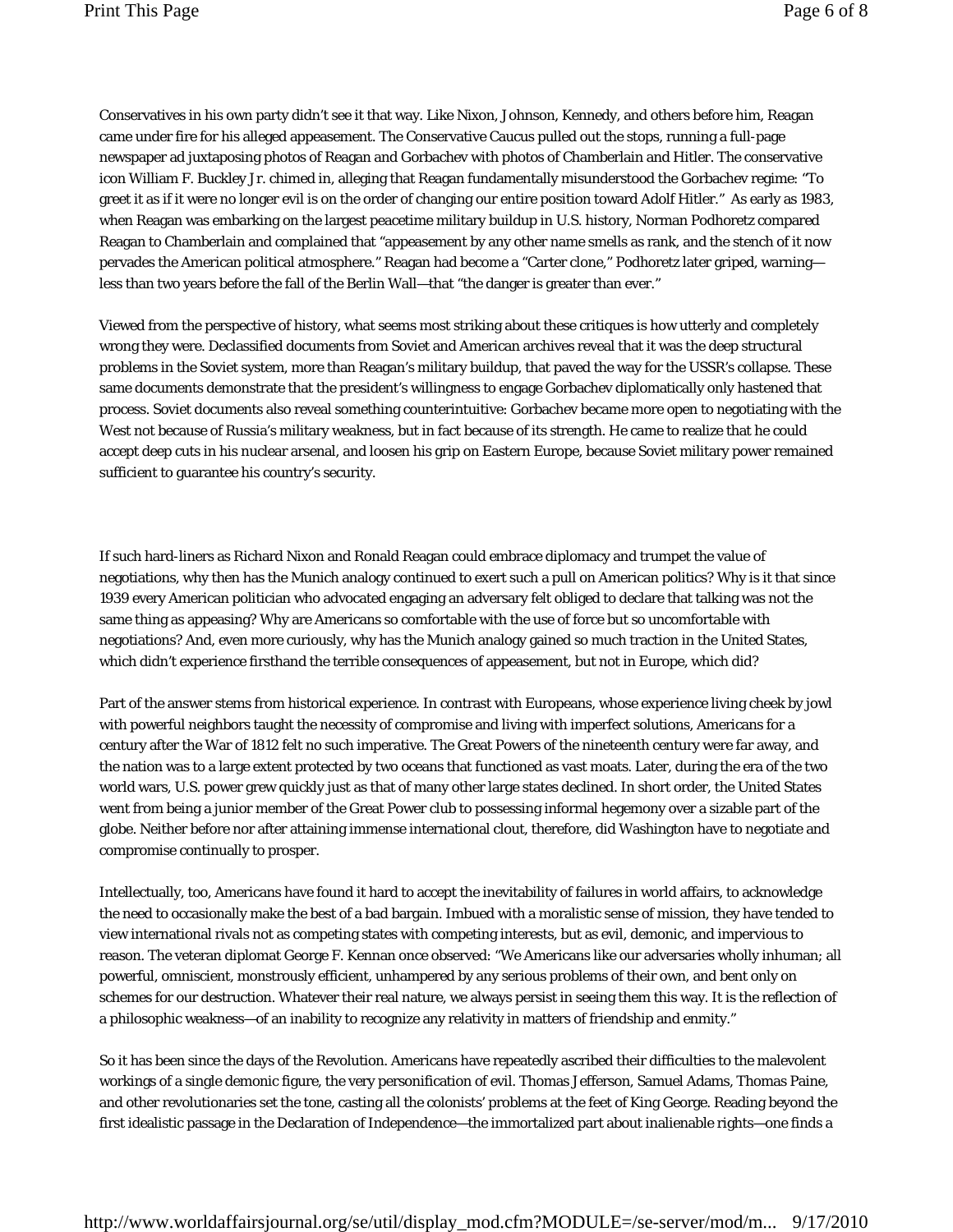Conservatives in his own party didn't see it that way. Like Nixon, Johnson, Kennedy, and others before him, Reagan came under fire for his alleged appeasement. The Conservative Caucus pulled out the stops, running a full-page newspaper ad juxtaposing photos of Reagan and Gorbachev with photos of Chamberlain and Hitler. The conservative icon William F. Buckley Jr. chimed in, alleging that Reagan fundamentally misunderstood the Gorbachev regime: "To greet it as if it were no longer evil is on the order of changing our entire position toward Adolf Hitler." As early as 1983, when Reagan was embarking on the largest peacetime military buildup in U.S. history, Norman Podhoretz compared Reagan to Chamberlain and complained that "appeasement by any other name smells as rank, and the stench of it now pervades the American political atmosphere." Reagan had become a "Carter clone," Podhoretz later griped, warning less than two years before the fall of the Berlin Wall—that "the danger is greater than ever."

Viewed from the perspective of history, what seems most striking about these critiques is how utterly and completely wrong they were. Declassified documents from Soviet and American archives reveal that it was the deep structural problems in the Soviet system, more than Reagan's military buildup, that paved the way for the USSR's collapse. These same documents demonstrate that the president's willingness to engage Gorbachev diplomatically only hastened that process. Soviet documents also reveal something counterintuitive: Gorbachev became more open to negotiating with the West not because of Russia's military weakness, but in fact because of its strength. He came to realize that he could accept deep cuts in his nuclear arsenal, and loosen his grip on Eastern Europe, because Soviet military power remained sufficient to guarantee his country's security.

If such hard-liners as Richard Nixon and Ronald Reagan could embrace diplomacy and trumpet the value of negotiations, why then has the Munich analogy continued to exert such a pull on American politics? Why is it that since 1939 every American politician who advocated engaging an adversary felt obliged to declare that talking was not the same thing as appeasing? Why are Americans so comfortable with the use of force but so uncomfortable with negotiations? And, even more curiously, why has the Munich analogy gained so much traction in the United States, which didn't experience firsthand the terrible consequences of appeasement, but not in Europe, which did?

Part of the answer stems from historical experience. In contrast with Europeans, whose experience living cheek by jowl with powerful neighbors taught the necessity of compromise and living with imperfect solutions, Americans for a century after the War of 1812 felt no such imperative. The Great Powers of the nineteenth century were far away, and the nation was to a large extent protected by two oceans that functioned as vast moats. Later, during the era of the two world wars, U.S. power grew quickly just as that of many other large states declined. In short order, the United States went from being a junior member of the Great Power club to possessing informal hegemony over a sizable part of the globe. Neither before nor after attaining immense international clout, therefore, did Washington have to negotiate and compromise continually to prosper.

Intellectually, too, Americans have found it hard to accept the inevitability of failures in world affairs, to acknowledge the need to occasionally make the best of a bad bargain. Imbued with a moralistic sense of mission, they have tended to view international rivals not as competing states with competing interests, but as evil, demonic, and impervious to reason. The veteran diplomat George F. Kennan once observed: "We Americans like our adversaries wholly inhuman; all powerful, omniscient, monstrously efficient, unhampered by any serious problems of their own, and bent only on schemes for our destruction. Whatever their real nature, we always persist in seeing them this way. It is the reflection of a philosophic weakness—of an inability to recognize any relativity in matters of friendship and enmity."

So it has been since the days of the Revolution. Americans have repeatedly ascribed their difficulties to the malevolent workings of a single demonic figure, the very personification of evil. Thomas Jefferson, Samuel Adams, Thomas Paine, and other revolutionaries set the tone, casting all the colonists' problems at the feet of King George. Reading beyond the first idealistic passage in the Declaration of Independence—the immortalized part about inalienable rights—one finds a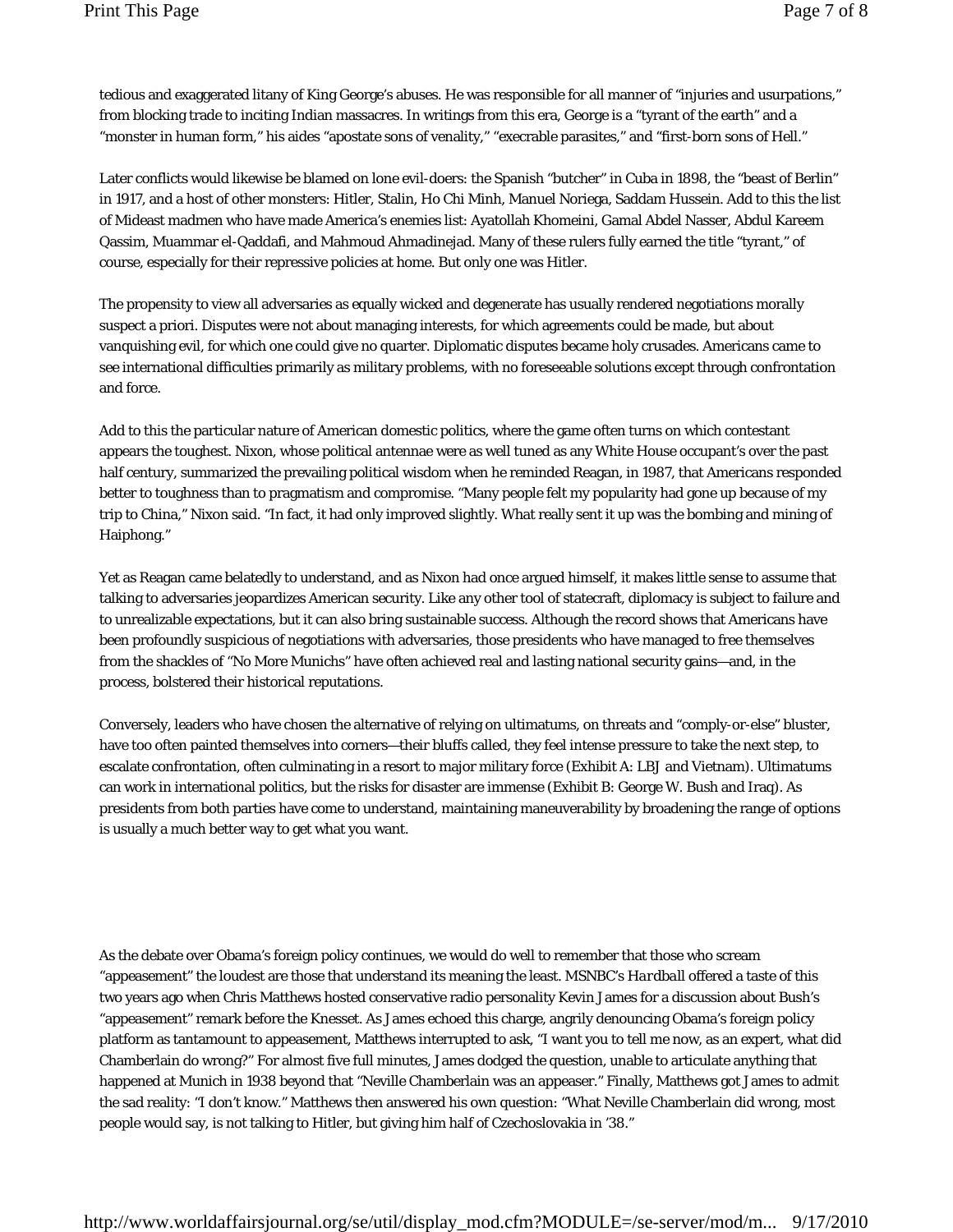tedious and exaggerated litany of King George's abuses. He was responsible for all manner of "injuries and usurpations," from blocking trade to inciting Indian massacres. In writings from this era, George is a "tyrant of the earth" and a "monster in human form," his aides "apostate sons of venality," "execrable parasites," and "first-born sons of Hell."

Later conflicts would likewise be blamed on lone evil-doers: the Spanish "butcher" in Cuba in 1898, the "beast of Berlin" in 1917, and a host of other monsters: Hitler, Stalin, Ho Chi Minh, Manuel Noriega, Saddam Hussein. Add to this the list of Mideast madmen who have made America's enemies list: Ayatollah Khomeini, Gamal Abdel Nasser, Abdul Kareem Qassim, Muammar el-Qaddafi, and Mahmoud Ahmadinejad. Many of these rulers fully earned the title "tyrant," of course, especially for their repressive policies at home. But only one was Hitler.

The propensity to view all adversaries as equally wicked and degenerate has usually rendered negotiations morally suspect a priori. Disputes were not about managing interests, for which agreements could be made, but about vanquishing evil, for which one could give no quarter. Diplomatic disputes became holy crusades. Americans came to see international difficulties primarily as military problems, with no foreseeable solutions except through confrontation and force.

Add to this the particular nature of American domestic politics, where the game often turns on which contestant appears the toughest. Nixon, whose political antennae were as well tuned as any White House occupant's over the past half century, summarized the prevailing political wisdom when he reminded Reagan, in 1987, that Americans responded better to toughness than to pragmatism and compromise. "Many people felt my popularity had gone up because of my trip to China," Nixon said. "In fact, it had only improved slightly. What really sent it up was the bombing and mining of Haiphong."

Yet as Reagan came belatedly to understand, and as Nixon had once argued himself, it makes little sense to assume that talking to adversaries jeopardizes American security. Like any other tool of statecraft, diplomacy is subject to failure and to unrealizable expectations, but it can also bring sustainable success. Although the record shows that Americans have been profoundly suspicious of negotiations with adversaries, those presidents who have managed to free themselves from the shackles of "No More Munichs" have often achieved real and lasting national security gains—and, in the process, bolstered their historical reputations.

Conversely, leaders who have chosen the alternative of relying on ultimatums, on threats and "comply-or-else" bluster, have too often painted themselves into corners—their bluffs called, they feel intense pressure to take the next step, to escalate confrontation, often culminating in a resort to major military force (Exhibit A: LBJ and Vietnam). Ultimatums can work in international politics, but the risks for disaster are immense (Exhibit B: George W. Bush and Iraq). As presidents from both parties have come to understand, maintaining maneuverability by broadening the range of options is usually a much better way to get what you want.

As the debate over Obama's foreign policy continues, we would do well to remember that those who scream "appeasement" the loudest are those that understand its meaning the least. MSNBC's *Hardball* offered a taste of this two years ago when Chris Matthews hosted conservative radio personality Kevin James for a discussion about Bush's "appeasement" remark before the Knesset. As James echoed this charge, angrily denouncing Obama's foreign policy platform as tantamount to appeasement, Matthews interrupted to ask, "I want you to tell me now, as an expert, what did Chamberlain do wrong?" For almost five full minutes, James dodged the question, unable to articulate anything that happened at Munich in 1938 beyond that "Neville Chamberlain was an appeaser." Finally, Matthews got James to admit the sad reality: "I don't know." Matthews then answered his own question: "What Neville Chamberlain did wrong, most people would say, is not talking to Hitler, but giving him half of Czechoslovakia in '38."